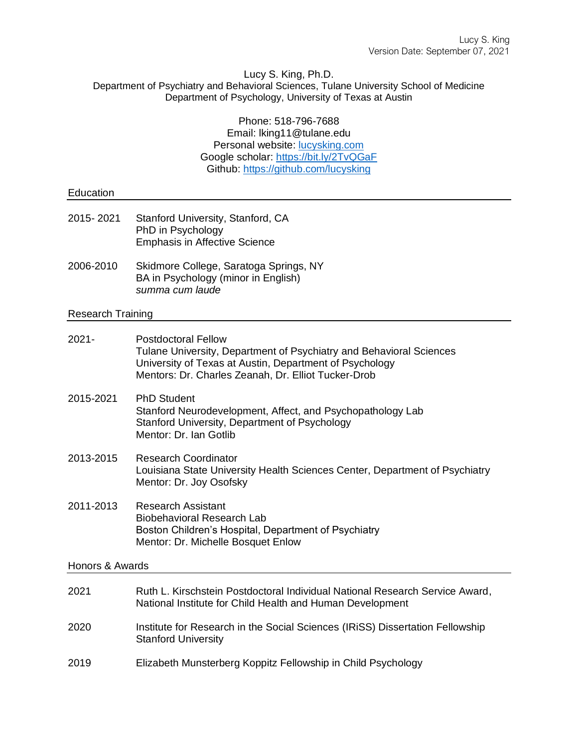#### Lucy S. King, Ph.D. Department of Psychiatry and Behavioral Sciences, Tulane University School of Medicine Department of Psychology, University of Texas at Austin

Phone: 518-796-7688 Email: lking11@tulane.edu Personal website: [lucysking.com](http://www.lucysking.com/) Google scholar:<https://bit.ly/2TvQGaF> Github:<https://github.com/lucysking>

# Education 2015- 2021 Stanford University, Stanford, CA PhD in Psychology Emphasis in Affective Science 2006-2010 Skidmore College, Saratoga Springs, NY BA in Psychology (minor in English) *summa cum laude*

## Research Training

| $2021 -$        | <b>Postdoctoral Fellow</b><br>Tulane University, Department of Psychiatry and Behavioral Sciences<br>University of Texas at Austin, Department of Psychology<br>Mentors: Dr. Charles Zeanah, Dr. Elliot Tucker-Drob |  |  |
|-----------------|---------------------------------------------------------------------------------------------------------------------------------------------------------------------------------------------------------------------|--|--|
| 2015-2021       | <b>PhD Student</b><br>Stanford Neurodevelopment, Affect, and Psychopathology Lab<br>Stanford University, Department of Psychology<br>Mentor: Dr. Ian Gotlib                                                         |  |  |
| 2013-2015       | <b>Research Coordinator</b><br>Louisiana State University Health Sciences Center, Department of Psychiatry<br>Mentor: Dr. Joy Osofsky                                                                               |  |  |
| 2011-2013       | <b>Research Assistant</b><br><b>Biobehavioral Research Lab</b><br>Boston Children's Hospital, Department of Psychiatry<br>Mentor: Dr. Michelle Bosquet Enlow                                                        |  |  |
| Honors & Awards |                                                                                                                                                                                                                     |  |  |
| 2021            | Ruth L. Kirschstein Postdoctoral Individual National Research Service Award,<br>National Institute for Child Health and Human Development                                                                           |  |  |
| 2020            | Institute for Research in the Social Sciences (IRiSS) Dissertation Fellowship<br><b>Stanford University</b>                                                                                                         |  |  |
| 2019            | Elizabeth Munsterberg Koppitz Fellowship in Child Psychology                                                                                                                                                        |  |  |
|                 |                                                                                                                                                                                                                     |  |  |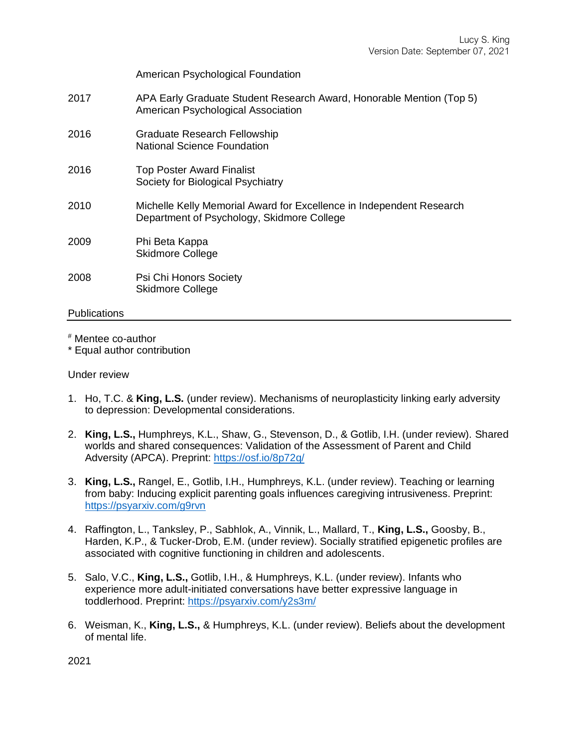American Psychological Foundation

- 2017 APA Early Graduate Student Research Award, Honorable Mention (Top 5) American Psychological Association
- 2016 Graduate Research Fellowship National Science Foundation
- 2016 Top Poster Award Finalist Society for Biological Psychiatry
- 2010 Michelle Kelly Memorial Award for Excellence in Independent Research Department of Psychology, Skidmore College
- 2009 Phi Beta Kappa Skidmore College
- 2008 Psi Chi Honors Society Skidmore College

# **Publications**

# Mentee co-author

\* Equal author contribution

Under review

- 1. Ho, T.C. & **King, L.S.** (under review). Mechanisms of neuroplasticity linking early adversity to depression: Developmental considerations.
- 2. **King, L.S.,** Humphreys, K.L., Shaw, G., Stevenson, D., & Gotlib, I.H. (under review). Shared worlds and shared consequences: Validation of the Assessment of Parent and Child Adversity (APCA). Preprint:<https://osf.io/8p72q/>
- 3. **King, L.S.,** Rangel, E., Gotlib, I.H., Humphreys, K.L. (under review). Teaching or learning from baby: Inducing explicit parenting goals influences caregiving intrusiveness. Preprint: <https://psyarxiv.com/g9rvn>
- 4. Raffington, L., Tanksley, P., Sabhlok, A., Vinnik, L., Mallard, T., **King, L.S.,** Goosby, B., Harden, K.P., & Tucker-Drob, E.M. (under review). Socially stratified epigenetic profiles are associated with cognitive functioning in children and adolescents.
- 5. Salo, V.C., **King, L.S.,** Gotlib, I.H., & Humphreys, K.L. (under review). Infants who experience more adult-initiated conversations have better expressive language in toddlerhood. Preprint:<https://psyarxiv.com/y2s3m/>
- 6. Weisman, K., **King, L.S.,** & Humphreys, K.L. (under review). Beliefs about the development of mental life.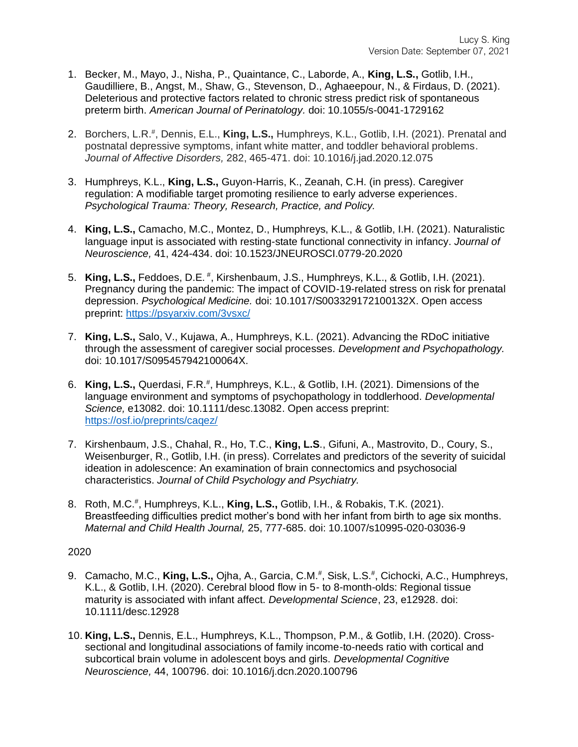- 1. Becker, M., Mayo, J., Nisha, P., Quaintance, C., Laborde, A., **King, L.S.,** Gotlib, I.H., Gaudilliere, B., Angst, M., Shaw, G., Stevenson, D., Aghaeepour, N., & Firdaus, D. (2021). Deleterious and protective factors related to chronic stress predict risk of spontaneous preterm birth. *American Journal of Perinatology.* doi: 10.1055/s-0041-1729162
- 2. Borchers, L.R.<sup>#</sup>, Dennis, E.L., King, L.S., Humphreys, K.L., Gotlib, I.H. (2021). Prenatal and postnatal depressive symptoms, infant white matter, and toddler behavioral problems. *Journal of Affective Disorders,* 282, 465-471. doi: 10.1016/j.jad.2020.12.075
- 3. Humphreys, K.L., **King, L.S.,** Guyon-Harris, K., Zeanah, C.H. (in press). Caregiver regulation: A modifiable target promoting resilience to early adverse experiences. *Psychological Trauma: Theory, Research, Practice, and Policy.*
- 4. **King, L.S.,** Camacho, M.C., Montez, D., Humphreys, K.L., & Gotlib, I.H. (2021). Naturalistic language input is associated with resting-state functional connectivity in infancy. *Journal of Neuroscience,* 41, 424-434. doi: 10.1523/JNEUROSCI.0779-20.2020
- 5. King, L.S., Feddoes, D.E.<sup>#</sup>, Kirshenbaum, J.S., Humphreys, K.L., & Gotlib, I.H. (2021). Pregnancy during the pandemic: The impact of COVID-19-related stress on risk for prenatal depression. *Psychological Medicine.* doi: 10.1017/S003329172100132X. Open access preprint:<https://psyarxiv.com/3vsxc/>
- 7. **King, L.S.,** Salo, V., Kujawa, A., Humphreys, K.L. (2021). Advancing the RDoC initiative through the assessment of caregiver social processes. *Development and Psychopathology.* doi: 10.1017/S095457942100064X.
- 6. King, L.S., Querdasi, F.R.<sup>#</sup>, Humphreys, K.L., & Gotlib, I.H. (2021). Dimensions of the language environment and symptoms of psychopathology in toddlerhood. *Developmental Science,* e13082. doi: 10.1111/desc.13082. Open access preprint: <https://osf.io/preprints/caqez/>
- 7. Kirshenbaum, J.S., Chahal, R., Ho, T.C., **King, L.S**., Gifuni, A., Mastrovito, D., Coury, S., Weisenburger, R., Gotlib, I.H. (in press). Correlates and predictors of the severity of suicidal ideation in adolescence: An examination of brain connectomics and psychosocial characteristics. *Journal of Child Psychology and Psychiatry.*
- 8. Roth, M.C.# , Humphreys, K.L., **King, L.S.,** Gotlib, I.H., & Robakis, T.K. (2021). Breastfeeding difficulties predict mother's bond with her infant from birth to age six months. *Maternal and Child Health Journal,* 25, 777-685. doi: 10.1007/s10995-020-03036-9

- 9. Camacho, M.C., **King, L.S.,** Ojha, A., Garcia, C.M.<sup>#</sup>, Sisk, L.S.<sup>#</sup>, Cichocki, A.C., Humphreys, K.L., & Gotlib, I.H. (2020). Cerebral blood flow in 5- to 8-month-olds: Regional tissue maturity is associated with infant affect. *Developmental Science*, 23, e12928. doi: 10.1111/desc.12928
- 10. **King, L.S.,** Dennis, E.L., Humphreys, K.L., Thompson, P.M., & Gotlib, I.H. (2020). Crosssectional and longitudinal associations of family income-to-needs ratio with cortical and subcortical brain volume in adolescent boys and girls. *Developmental Cognitive Neuroscience,* 44, 100796. doi: 10.1016/j.dcn.2020.100796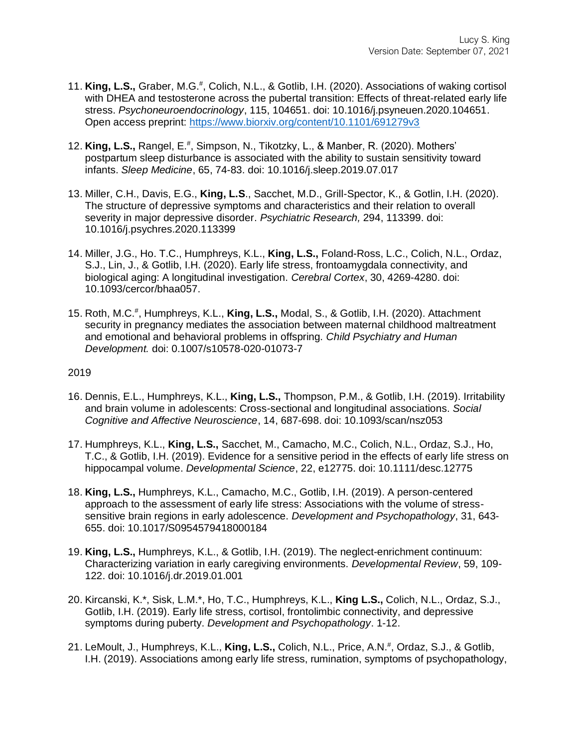- 11. King, L.S., Graber, M.G.<sup>#</sup>, Colich, N.L., & Gotlib, I.H. (2020). Associations of waking cortisol with DHEA and testosterone across the pubertal transition: Effects of threat-related early life stress. *Psychoneuroendocrinology*, 115, 104651. doi: 10.1016/j.psyneuen.2020.104651. Open access preprint:<https://www.biorxiv.org/content/10.1101/691279v3>
- 12. King, L.S., Rangel, E.<sup>#</sup>, Simpson, N., Tikotzky, L., & Manber, R. (2020). Mothers' postpartum sleep disturbance is associated with the ability to sustain sensitivity toward infants. *Sleep Medicine*, 65, 74-83. doi: 10.1016/j.sleep.2019.07.017
- 13. Miller, C.H., Davis, E.G., **King, L.S**., Sacchet, M.D., Grill-Spector, K., & Gotlin, I.H. (2020). The structure of depressive symptoms and characteristics and their relation to overall severity in major depressive disorder. *Psychiatric Research,* 294, 113399. doi: 10.1016/j.psychres.2020.113399
- 14. Miller, J.G., Ho. T.C., Humphreys, K.L., **King, L.S.,** Foland-Ross, L.C., Colich, N.L., Ordaz, S.J., Lin, J., & Gotlib, I.H. (2020). Early life stress, frontoamygdala connectivity, and biological aging: A longitudinal investigation. *Cerebral Cortex*, 30, 4269-4280. doi: 10.1093/cercor/bhaa057.
- 15. Roth, M.C.# , Humphreys, K.L., **King, L.S.,** Modal, S., & Gotlib, I.H. (2020). Attachment security in pregnancy mediates the association between maternal childhood maltreatment and emotional and behavioral problems in offspring. *Child Psychiatry and Human Development.* doi: 0.1007/s10578-020-01073-7

- 16. Dennis, E.L., Humphreys, K.L., **King, L.S.,** Thompson, P.M., & Gotlib, I.H. (2019). Irritability and brain volume in adolescents: Cross-sectional and longitudinal associations. *Social Cognitive and Affective Neuroscience*, 14, 687-698. doi: 10.1093/scan/nsz053
- 17. Humphreys, K.L., **King, L.S.,** Sacchet, M., Camacho, M.C., Colich, N.L., Ordaz, S.J., Ho, T.C., & Gotlib, I.H. (2019). Evidence for a sensitive period in the effects of early life stress on hippocampal volume. *Developmental Science*, 22, e12775. doi: 10.1111/desc.12775
- 18. **King, L.S.,** Humphreys, K.L., Camacho, M.C., Gotlib, I.H. (2019). A person-centered approach to the assessment of early life stress: Associations with the volume of stresssensitive brain regions in early adolescence. *Development and Psychopathology*, 31, 643- 655. doi: 10.1017/S0954579418000184
- 19. **King, L.S.,** Humphreys, K.L., & Gotlib, I.H. (2019). The neglect-enrichment continuum: Characterizing variation in early caregiving environments. *Developmental Review*, 59, 109- 122. doi: 10.1016/j.dr.2019.01.001
- 20. Kircanski, K.\*, Sisk, L.M.\*, Ho, T.C., Humphreys, K.L., **King L.S.,** Colich, N.L., Ordaz, S.J., Gotlib, I.H. (2019). Early life stress, cortisol, frontolimbic connectivity, and depressive symptoms during puberty. *Development and Psychopathology*. 1-12.
- 21. LeMoult, J., Humphreys, K.L., **King, L.S.,** Colich, N.L., Price, A.N. # , Ordaz, S.J., & Gotlib, I.H. (2019). Associations among early life stress, rumination, symptoms of psychopathology,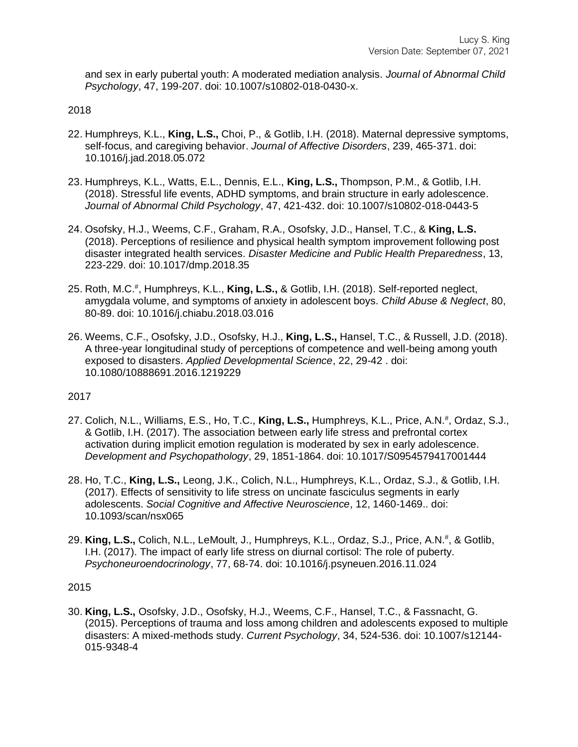and sex in early pubertal youth: A moderated mediation analysis. *Journal of Abnormal Child Psychology*, 47, 199-207. doi: 10.1007/s10802-018-0430-x.

## 2018

- 22. Humphreys, K.L., **King, L.S.,** Choi, P., & Gotlib, I.H. (2018). Maternal depressive symptoms, self-focus, and caregiving behavior. *Journal of Affective Disorders*, 239, 465-371. doi: 10.1016/j.jad.2018.05.072
- 23. Humphreys, K.L., Watts, E.L., Dennis, E.L., **King, L.S.,** Thompson, P.M., & Gotlib, I.H. (2018). Stressful life events, ADHD symptoms, and brain structure in early adolescence. *Journal of Abnormal Child Psychology*, 47, 421-432. doi: 10.1007/s10802-018-0443-5
- 24. Osofsky, H.J., Weems, C.F., Graham, R.A., Osofsky, J.D., Hansel, T.C., & **King, L.S.** (2018). Perceptions of resilience and physical health symptom improvement following post disaster integrated health services. *Disaster Medicine and Public Health Preparedness*, 13, 223-229. doi: 10.1017/dmp.2018.35
- 25. Roth, M.C.# , Humphreys, K.L., **King, L.S.,** & Gotlib, I.H. (2018). Self-reported neglect, amygdala volume, and symptoms of anxiety in adolescent boys. *Child Abuse & Neglect*, 80, 80-89. doi: 10.1016/j.chiabu.2018.03.016
- 26. Weems, C.F., Osofsky, J.D., Osofsky, H.J., **King, L.S.,** Hansel, T.C., & Russell, J.D. (2018). A three-year longitudinal study of perceptions of competence and well-being among youth exposed to disasters. *Applied Developmental Science*, 22, 29-42 . doi: 10.1080/10888691.2016.1219229

## 2017

- 27. Colich, N.L., Williams, E.S., Ho, T.C., **King, L.S.,** Humphreys, K.L., Price, A.N.<sup>#</sup>, Ordaz, S.J., & Gotlib, I.H. (2017). The association between early life stress and prefrontal cortex activation during implicit emotion regulation is moderated by sex in early adolescence. *Development and Psychopathology*, 29, 1851-1864. doi: 10.1017/S0954579417001444
- 28. Ho, T.C., **King, L.S.,** Leong, J.K., Colich, N.L., Humphreys, K.L., Ordaz, S.J., & Gotlib, I.H. (2017). Effects of sensitivity to life stress on uncinate fasciculus segments in early adolescents. *Social Cognitive and Affective Neuroscience*, 12, 1460-1469.. doi: 10.1093/scan/nsx065
- 29. King, L.S., Colich, N.L., LeMoult, J., Humphreys, K.L., Ordaz, S.J., Price, A.N.<sup>#</sup>, & Gotlib, I.H. (2017). The impact of early life stress on diurnal cortisol: The role of puberty. *Psychoneuroendocrinology*, 77, 68-74. doi: 10.1016/j.psyneuen.2016.11.024

## 2015

30. **King, L.S.,** Osofsky, J.D., Osofsky, H.J., Weems, C.F., Hansel, T.C., & Fassnacht, G. (2015). Perceptions of trauma and loss among children and adolescents exposed to multiple disasters: A mixed-methods study. *Current Psychology*, 34, 524-536. doi: 10.1007/s12144- 015-9348-4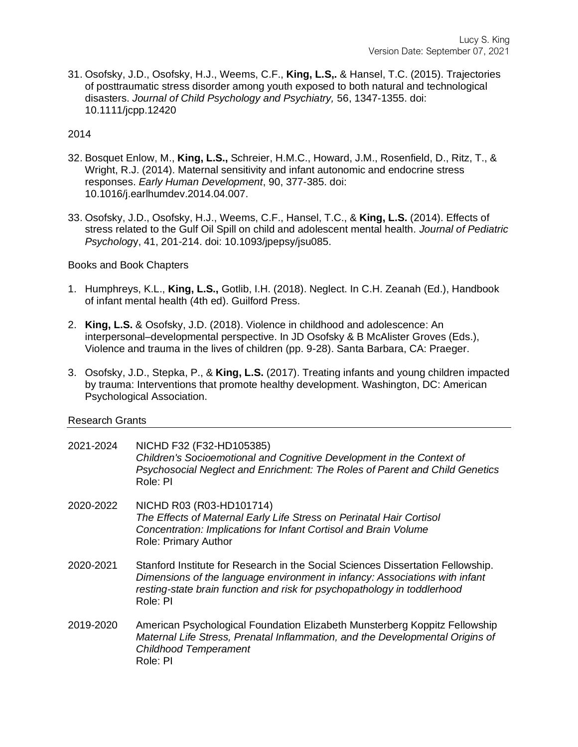31. Osofsky, J.D., Osofsky, H.J., Weems, C.F., **King, L.S,.** & Hansel, T.C. (2015). Trajectories of posttraumatic stress disorder among youth exposed to both natural and technological disasters. *Journal of Child Psychology and Psychiatry,* 56, 1347-1355. doi: 10.1111/jcpp.12420

# 2014

- 32. Bosquet Enlow, M., **King, L.S.,** Schreier, H.M.C., Howard, J.M., Rosenfield, D., Ritz, T., & Wright, R.J. (2014). Maternal sensitivity and infant autonomic and endocrine stress responses. *Early Human Development*, 90, 377-385. doi: 10.1016/j.earlhumdev.2014.04.007.
- 33. Osofsky, J.D., Osofsky, H.J., Weems, C.F., Hansel, T.C., & **King, L.S.** (2014). Effects of stress related to the Gulf Oil Spill on child and adolescent mental health. *Journal of Pediatric Psycholog*y, 41, 201-214. doi: 10.1093/jpepsy/jsu085.

## Books and Book Chapters

- 1. Humphreys, K.L., **King, L.S.,** Gotlib, I.H. (2018). Neglect. In C.H. Zeanah (Ed.), Handbook of infant mental health (4th ed). Guilford Press.
- 2. **King, L.S.** & Osofsky, J.D. (2018). Violence in childhood and adolescence: An interpersonal–developmental perspective. In JD Osofsky & B McAlister Groves (Eds.), Violence and trauma in the lives of children (pp. 9-28). Santa Barbara, CA: Praeger.
- 3. Osofsky, J.D., Stepka, P., & **King, L.S.** (2017). Treating infants and young children impacted by trauma: Interventions that promote healthy development. Washington, DC: American Psychological Association.

## Research Grants

- 2021-2024 NICHD F32 (F32-HD105385) *Children's Socioemotional and Cognitive Development in the Context of Psychosocial Neglect and Enrichment: The Roles of Parent and Child Genetics* Role: PI
- 2020-2022 NICHD R03 (R03-HD101714) *The Effects of Maternal Early Life Stress on Perinatal Hair Cortisol Concentration: Implications for Infant Cortisol and Brain Volume* Role: Primary Author
- 2020-2021 Stanford Institute for Research in the Social Sciences Dissertation Fellowship. *Dimensions of the language environment in infancy: Associations with infant resting-state brain function and risk for psychopathology in toddlerhood* Role: PI
- 2019-2020 American Psychological Foundation Elizabeth Munsterberg Koppitz Fellowship *Maternal Life Stress, Prenatal Inflammation, and the Developmental Origins of Childhood Temperament* Role: PI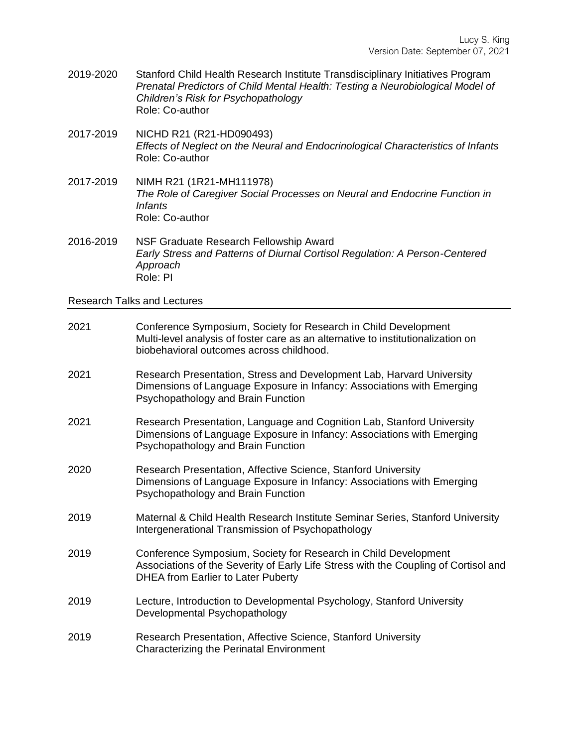- 2019-2020 Stanford Child Health Research Institute Transdisciplinary Initiatives Program *Prenatal Predictors of Child Mental Health: Testing a Neurobiological Model of Children's Risk for Psychopathology* Role: Co-author
- 2017-2019 NICHD R21 (R21-HD090493) *Effects of Neglect on the Neural and Endocrinological Characteristics of Infants*  Role: Co-author
- 2017-2019 NIMH R21 (1R21-MH111978) *The Role of Caregiver Social Processes on Neural and Endocrine Function in Infants*  Role: Co-author
- 2016-2019 NSF Graduate Research Fellowship Award *Early Stress and Patterns of Diurnal Cortisol Regulation: A Person-Centered Approach* Role: PI

Research Talks and Lectures

| 2021 | Conference Symposium, Society for Research in Child Development<br>Multi-level analysis of foster care as an alternative to institutionalization on<br>biobehavioral outcomes across childhood.     |
|------|-----------------------------------------------------------------------------------------------------------------------------------------------------------------------------------------------------|
| 2021 | Research Presentation, Stress and Development Lab, Harvard University<br>Dimensions of Language Exposure in Infancy: Associations with Emerging<br>Psychopathology and Brain Function               |
| 2021 | Research Presentation, Language and Cognition Lab, Stanford University<br>Dimensions of Language Exposure in Infancy: Associations with Emerging<br>Psychopathology and Brain Function              |
| 2020 | Research Presentation, Affective Science, Stanford University<br>Dimensions of Language Exposure in Infancy: Associations with Emerging<br>Psychopathology and Brain Function                       |
| 2019 | Maternal & Child Health Research Institute Seminar Series, Stanford University<br>Intergenerational Transmission of Psychopathology                                                                 |
| 2019 | Conference Symposium, Society for Research in Child Development<br>Associations of the Severity of Early Life Stress with the Coupling of Cortisol and<br><b>DHEA from Earlier to Later Puberty</b> |
| 2019 | Lecture, Introduction to Developmental Psychology, Stanford University<br>Developmental Psychopathology                                                                                             |
| 2019 | Research Presentation, Affective Science, Stanford University<br><b>Characterizing the Perinatal Environment</b>                                                                                    |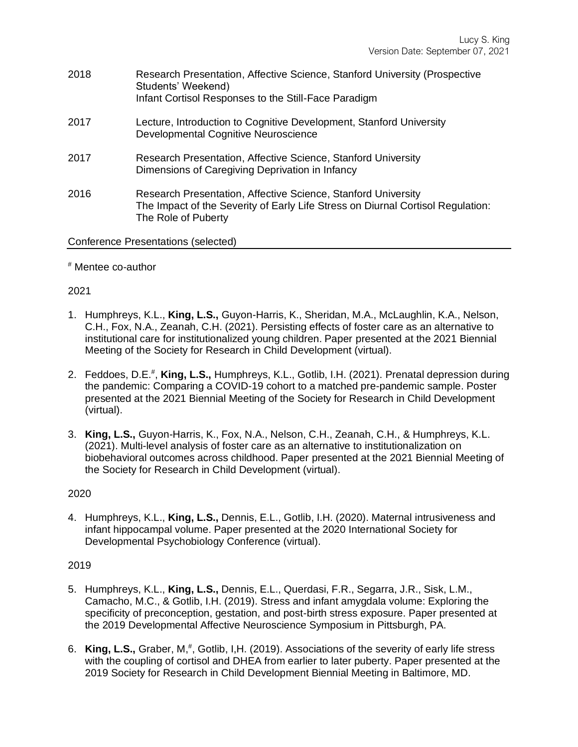- 2018 Research Presentation, Affective Science, Stanford University (Prospective Students' Weekend) Infant Cortisol Responses to the Still-Face Paradigm
- 2017 Lecture, Introduction to Cognitive Development, Stanford University Developmental Cognitive Neuroscience
- 2017 Research Presentation, Affective Science, Stanford University Dimensions of Caregiving Deprivation in Infancy
- 2016 Research Presentation, Affective Science, Stanford University The Impact of the Severity of Early Life Stress on Diurnal Cortisol Regulation: The Role of Puberty

## Conference Presentations (selected)

# # Mentee co-author

## 2021

- 1. Humphreys, K.L., **King, L.S.,** Guyon-Harris, K., Sheridan, M.A., McLaughlin, K.A., Nelson, C.H., Fox, N.A., Zeanah, C.H. (2021). Persisting effects of foster care as an alternative to institutional care for institutionalized young children. Paper presented at the 2021 Biennial Meeting of the Society for Research in Child Development (virtual).
- 2. Feddoes, D.E.<sup>#</sup>, King, L.S., Humphreys, K.L., Gotlib, I.H. (2021). Prenatal depression during the pandemic: Comparing a COVID-19 cohort to a matched pre-pandemic sample. Poster presented at the 2021 Biennial Meeting of the Society for Research in Child Development (virtual).
- 3. **King, L.S.,** Guyon-Harris, K., Fox, N.A., Nelson, C.H., Zeanah, C.H., & Humphreys, K.L. (2021). Multi-level analysis of foster care as an alternative to institutionalization on biobehavioral outcomes across childhood. Paper presented at the 2021 Biennial Meeting of the Society for Research in Child Development (virtual).

## 2020

4. Humphreys, K.L., **King, L.S.,** Dennis, E.L., Gotlib, I.H. (2020). Maternal intrusiveness and infant hippocampal volume. Paper presented at the 2020 International Society for Developmental Psychobiology Conference (virtual).

- 5. Humphreys, K.L., **King, L.S.,** Dennis, E.L., Querdasi, F.R., Segarra, J.R., Sisk, L.M., Camacho, M.C., & Gotlib, I.H. (2019). Stress and infant amygdala volume: Exploring the specificity of preconception, gestation, and post-birth stress exposure. Paper presented at the 2019 Developmental Affective Neuroscience Symposium in Pittsburgh, PA.
- 6. King, L.S., Graber, M,<sup>#</sup>, Gotlib, I,H. (2019). Associations of the severity of early life stress with the coupling of cortisol and DHEA from earlier to later puberty. Paper presented at the 2019 Society for Research in Child Development Biennial Meeting in Baltimore, MD.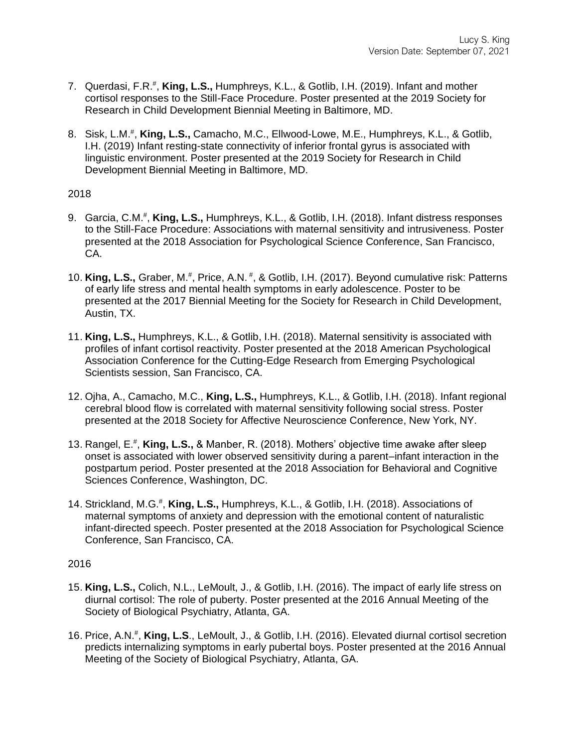- 7. Querdasi, F.R.<sup>#</sup>, King, L.S., Humphreys, K.L., & Gotlib, I.H. (2019). Infant and mother cortisol responses to the Still-Face Procedure. Poster presented at the 2019 Society for Research in Child Development Biennial Meeting in Baltimore, MD.
- 8. Sisk, L.M.<sup>#</sup>, King, L.S., Camacho, M.C., Ellwood-Lowe, M.E., Humphreys, K.L., & Gotlib, I.H. (2019) Infant resting-state connectivity of inferior frontal gyrus is associated with linguistic environment. Poster presented at the 2019 Society for Research in Child Development Biennial Meeting in Baltimore, MD.

## 2018

- 9. Garcia, C.M.<sup>#</sup>, King, L.S., Humphreys, K.L., & Gotlib, I.H. (2018). Infant distress responses to the Still-Face Procedure: Associations with maternal sensitivity and intrusiveness. Poster presented at the 2018 Association for Psychological Science Conference, San Francisco, CA.
- 10. King, L.S., Graber, M.<sup>#</sup>, Price, A.N.<sup>#</sup>, & Gotlib, I.H. (2017). Beyond cumulative risk: Patterns of early life stress and mental health symptoms in early adolescence. Poster to be presented at the 2017 Biennial Meeting for the Society for Research in Child Development, Austin, TX.
- 11. **King, L.S.,** Humphreys, K.L., & Gotlib, I.H. (2018). Maternal sensitivity is associated with profiles of infant cortisol reactivity. Poster presented at the 2018 American Psychological Association Conference for the Cutting-Edge Research from Emerging Psychological Scientists session, San Francisco, CA.
- 12. Ojha, A., Camacho, M.C., **King, L.S.,** Humphreys, K.L., & Gotlib, I.H. (2018). Infant regional cerebral blood flow is correlated with maternal sensitivity following social stress. Poster presented at the 2018 Society for Affective Neuroscience Conference, New York, NY.
- 13. Rangel, E. # , **King, L.S.,** & Manber, R. (2018). Mothers' objective time awake after sleep onset is associated with lower observed sensitivity during a parent–infant interaction in the postpartum period. Poster presented at the 2018 Association for Behavioral and Cognitive Sciences Conference, Washington, DC.
- 14. Strickland, M.G.<sup>#</sup>, King, L.S., Humphreys, K.L., & Gotlib, I.H. (2018). Associations of maternal symptoms of anxiety and depression with the emotional content of naturalistic infant-directed speech. Poster presented at the 2018 Association for Psychological Science Conference, San Francisco, CA.

- 15. **King, L.S.,** Colich, N.L., LeMoult, J., & Gotlib, I.H. (2016). The impact of early life stress on diurnal cortisol: The role of puberty. Poster presented at the 2016 Annual Meeting of the Society of Biological Psychiatry, Atlanta, GA.
- 16. Price, A.N.# , **King, L.S**., LeMoult, J., & Gotlib, I.H. (2016). Elevated diurnal cortisol secretion predicts internalizing symptoms in early pubertal boys. Poster presented at the 2016 Annual Meeting of the Society of Biological Psychiatry, Atlanta, GA.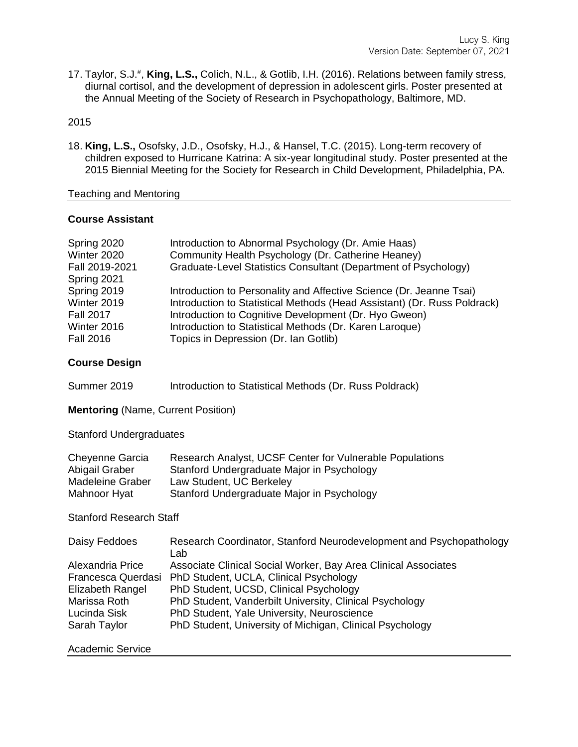17. Taylor, S.J. # , **King, L.S.,** Colich, N.L., & Gotlib, I.H. (2016). Relations between family stress, diurnal cortisol, and the development of depression in adolescent girls. Poster presented at the Annual Meeting of the Society of Research in Psychopathology, Baltimore, MD.

## 2015

18. **King, L.S.,** Osofsky, J.D., Osofsky, H.J., & Hansel, T.C. (2015). Long-term recovery of children exposed to Hurricane Katrina: A six-year longitudinal study. Poster presented at the 2015 Biennial Meeting for the Society for Research in Child Development, Philadelphia, PA.

## Teaching and Mentoring

## **Course Assistant**

| Spring 2020<br>Winter 2020<br>Fall 2019-2021<br>Spring 2021 | Introduction to Abnormal Psychology (Dr. Amie Haas)<br>Community Health Psychology (Dr. Catherine Heaney)<br>Graduate-Level Statistics Consultant (Department of Psychology) |
|-------------------------------------------------------------|------------------------------------------------------------------------------------------------------------------------------------------------------------------------------|
| Spring 2019                                                 | Introduction to Personality and Affective Science (Dr. Jeanne Tsai)                                                                                                          |
| Winter 2019                                                 | Introduction to Statistical Methods (Head Assistant) (Dr. Russ Poldrack)                                                                                                     |
| <b>Fall 2017</b>                                            | Introduction to Cognitive Development (Dr. Hyo Gweon)                                                                                                                        |
| Winter 2016                                                 | Introduction to Statistical Methods (Dr. Karen Laroque)                                                                                                                      |
| <b>Fall 2016</b>                                            | Topics in Depression (Dr. Ian Gotlib)                                                                                                                                        |

## **Course Design**

Summer 2019 Introduction to Statistical Methods (Dr. Russ Poldrack)

**Mentoring** (Name, Current Position)

Stanford Undergraduates

| Cheyenne Garcia  | Research Analyst, UCSF Center for Vulnerable Populations |
|------------------|----------------------------------------------------------|
| Abigail Graber   | Stanford Undergraduate Major in Psychology               |
| Madeleine Graber | Law Student, UC Berkeley                                 |
| Mahnoor Hyat     | Stanford Undergraduate Major in Psychology               |

## Stanford Research Staff

| Daisy Feddoes      | Research Coordinator, Stanford Neurodevelopment and Psychopathology<br>Lab |
|--------------------|----------------------------------------------------------------------------|
| Alexandria Price   | Associate Clinical Social Worker, Bay Area Clinical Associates             |
| Francesca Querdasi | PhD Student, UCLA, Clinical Psychology                                     |
| Elizabeth Rangel   | PhD Student, UCSD, Clinical Psychology                                     |
| Marissa Roth       | PhD Student, Vanderbilt University, Clinical Psychology                    |
| Lucinda Sisk       | PhD Student, Yale University, Neuroscience                                 |
| Sarah Taylor       | PhD Student, University of Michigan, Clinical Psychology                   |
|                    |                                                                            |

## Academic Service